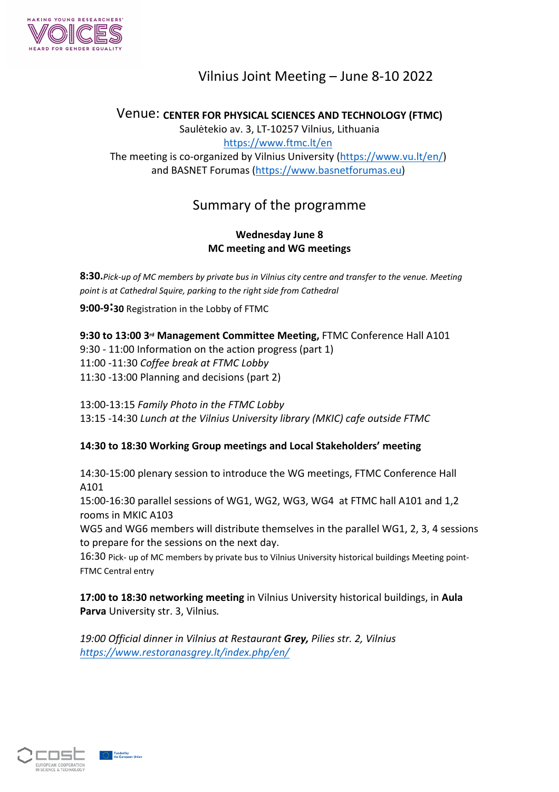

# Vilnius Joint Meeting – June 8-10 2022

Venue: **CENTER FOR PHYSICAL SCIENCES AND TECHNOLOGY (FTMC)** Saulėtekio av. 3, LT-10257 Vilnius, Lithuania <https://www.ftmc.lt/en> The meeting is co-organized by Vilnius University ([https://www.vu.lt/en/\)](https://www.vu.lt/en/) and BASNET Forumas ([https://www.basnetforumas.eu\)](https://www.basnetforumas.eu)

## Summary of the programme

## **Wednesday June 8 MC meeting and WG meetings**

**8:30.***Pick-up of MC members by private bus in Vilnius city centre and transfer to the venue. Meeting point is at Cathedral Squire, parking to the right side from Cathedral*

**9:00-9:30** Registration in the Lobby of FTMC

**9:30 to 13:00 3rd Management Committee Meeting,** FTMC Conference Hall A101

9:30 - 11:00 Information on the action progress (part 1)

11:00 -11:30 *Coffee break at FTMC Lobby*

11:30 -13:00 Planning and decisions (part 2)

13:00-13:15 *Family Photo in the FTMC Lobby*

13:15 -14:30 *Lunch at the Vilnius University library (MKIC) cafe outside FTMC*

## **14:30 to 18:30 Working Group meetings and Local Stakeholders' meeting**

14:30-15:00 plenary session to introduce the WG meetings, FTMC Conference Hall A101

15:00-16:30 parallel sessions of WG1, WG2, WG3, WG4 at FTMC hall A101 and 1,2 rooms in MKIC A103

WG5 and WG6 members will distribute themselves in the parallel WG1, 2, 3, 4 sessions to prepare for the sessions on the next day.

16:30 Pick- up of MC members by private bus to Vilnius University historical buildings Meeting point-FTMC Central entry

**17:00 to 18:30 networking meeting** in Vilnius University historical buildings, in **Aula Parva** University str. 3, Vilnius*.*

*19:00 Official dinner in Vilnius at Restaurant Grey, Pilies str. 2, Vilnius <https://www.restoranasgrey.lt/index.php/en/>*



Funded by<br>the European Union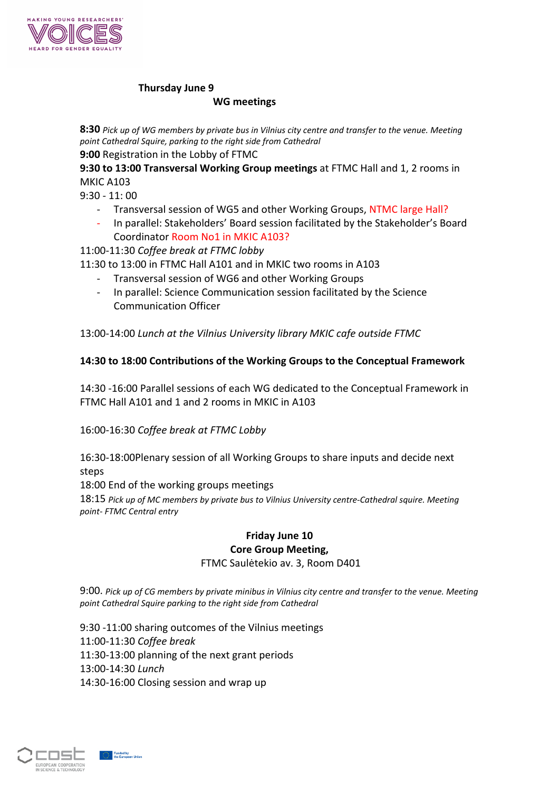

## **Thursday June 9**

### **WG meetings**

**8:30** *Pick up of WG members by private bus in Vilnius city centre and transfer to the venue. Meeting point Cathedral Squire, parking to the right side from Cathedral* **9:00** Registration in the Lobby of FTMC

**9:30 to 13:00 Transversal Working Group meetings** at FTMC Hall and 1, 2 rooms in MKIC A103

- 9:30 11: 00
	- Transversal session of WG5 and other Working Groups, NTMC large Hall?
	- In parallel: Stakeholders' Board session facilitated by the Stakeholder's Board Coordinator Room No1 in MKIC A103?

## 11:00-11:30 *Coffee break at FTMC lobby*

11:30 to 13:00 in FTMC Hall A101 and in MKIC two rooms in A103

- 
- Transversal session of WG6 and other Working Groups<br>- In parallel: Science Communication session facilitated by the Science Communication Officer

13:00-14:00 *Lunch at the Vilnius University library MKIC cafe outside FTMC*

## **14:30 to 18:00 Contributions of the Working Groups to the Conceptual Framework**

14:30 -16:00 Parallel sessions of each WG dedicated to the Conceptual Framework in FTMC Hall A101 and 1 and 2 rooms in MKIC in A103

16:00-16:30 *Coffee break at FTMC Lobby*

16:30-18:00Plenary session of all Working Groups to share inputs and decide next steps

18:00 End of the working groups meetings

18:15 *Pick up of MC members by private bus to Vilnius University centre-Cathedral squire. Meeting point- FTMC Central entry*

### **Friday June 10 Core Group Meeting,** FTMC Saulėtekio av. 3, Room D401

9:00. *Pick up of CG members by private minibus in Vilnius city centre and transfer to the venue. Meeting point Cathedral Squire parking to the right side from Cathedral*

9:30 -11:00 sharing outcomes of the Vilnius meetings 11:00-11:30 *Coffee break* 11:30-13:00 planning of the next grant periods 13:00-14:30 *Lunch*  14:30-16:00 Closing session and wrap up



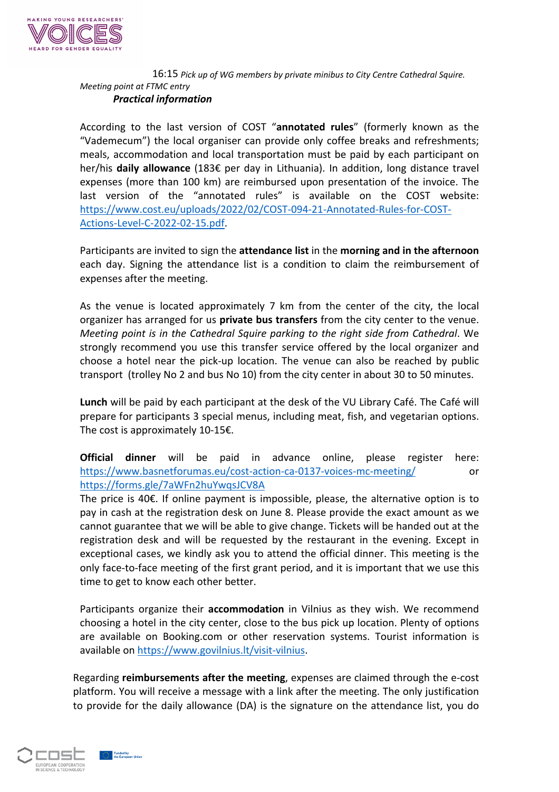

#### 16:15 *Pick up of WG members by private minibus to City Centre Cathedral Squire. Meeting point at FTMC entry Practical information*

According to the last version of COST "**annotated rules**" (formerly known as the "Vademecum") the local organiser can provide only coffee breaks and refreshments; meals, accommodation and local transportation must be paid by each participant on her/his **daily allowance** (183€ per day in Lithuania). In addition, long distance travel expenses (more than 100 km) are reimbursed upon presentation of the invoice. The last version of the "annotated rules" is available on the COST website: [https://www.cost.eu/uploads/2022/02/COST-094-21-Annotated-Rules-for-COST-](https://www.cost.eu/uploads/2022/02/COST-094-21-Annotated-Rules-for-COST-Actions-Level-C-2022-02-15.pdf)

[Actions-Level-C-2022-02-15.pdf](https://www.cost.eu/uploads/2022/02/COST-094-21-Annotated-Rules-for-COST-Actions-Level-C-2022-02-15.pdf).<br>Participants are invited to sign the **attendance list** in the **morning and in the afternoon** each day. Signing the attendance list is a condition to claim the reimbursement of expenses after the meeting.

As the venue is located approximately 7 km from the center of the city, the local organizer has arranged for us **private bus transfers** from the city center to the venue. *Meeting point is in the Cathedral Squire parking to the right side from Cathedral*. We strongly recommend you use this transfer service offered by the local organizer and choose a hotel near the pick-up location. The venue can also be reached by public transport (trolley No 2 and bus No 10) from the city center in about 30 to 50 minutes.

**Lunch** will be paid by each participant at the desk of the VU Library Café. The Café will prepare for participants 3 special menus, including meat, fish, and vegetarian options. The cost is approximately 10-15€.

**Official dinner** will be paid in advance online, please register here: <https://www.basnetforumas.eu/cost-action-ca-0137-voices-mc-meeting/> or <https://forms.gle/7aWFn2huYwqsJCV8A>

The price is 40€. If online payment is impossible, please, the alternative option is to pay in cash at the registration desk on June 8. Please provide the exact amount as we cannot guarantee that we will be able to give change. Tickets will be handed out at the registration desk and will be requested by the restaurant in the evening. Except in exceptional cases, we kindly ask you to attend the official dinner. This meeting is the only face-to-face meeting of the first grant period, and it is important that we use this time to get to know each other better.

Participants organize their **accommodation** in Vilnius as they wish. We recommend choosing a hotel in the city center, close to the bus pick up location. Plenty of options are available on Booking.com or other reservation systems. Tourist information is

available on [https://www.govilnius.lt/visit-vilnius.](https://www.govilnius.lt/visit-vilnius)<br>Regarding **reimbursements after the meeting**, expenses are claimed through the e-cost platform. You will receive a message with a link after the meeting. The only justification to provide for the daily allowance (DA) is the signature on the attendance list, you do